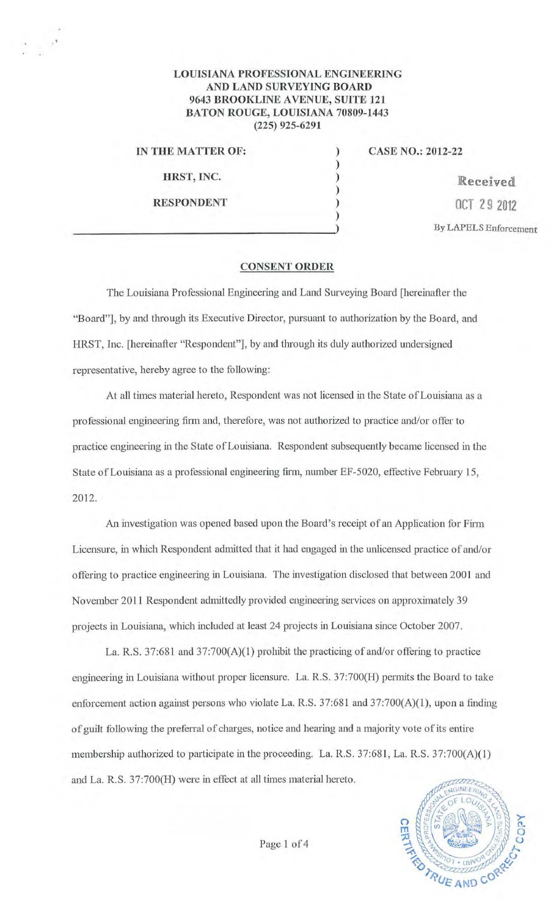## LOUISIANA PROFESSIONAL ENGINEERING AND LAND SURVEYING BOARD 9643 BROOKLINE AVENUE, SUITE 121 BATON ROUGE, LOUISIANA 70809-1443 (225) 925-6291

) ) ) )

RESPONDENT

IN THE MATTER OF:  $CASE NO.: 2012-22$ 

HRST, INC.  $\qquad \qquad$  ) Received ) OCT 2 9 2012 By LAPELS Enforcement

## CONSENT ORDER

The Louisiana Professional Engineering and Land Surveying Board [hereinafter the "Board"], by and through its Executive Director, pursuant to authorization by the Board, and HRST, Inc. [hereinafter "Respondent"], by and through its duly authorized undersigned representative, hereby agree to the following:

At all times material hereto, Respondent was not licensed in the State of Louisiana as a professional engineering finn and, therefore, was not authorized to practice and/or offer to practice engineering in the State of Louisiana. Respondent subsequently became licensed in the State of Louisiana as a professional engineering firm, number EF-5020, effective February 15, 2012.

An investigation was opened based upon the Board's receipt of an Application for Firm Licensure, in which Respondent admitted that it had engaged in the unlicensed practice of and/or offering to practice engineering in Louisiana. The investigation disclosed that between 2001 and November 2011 Respondent admittedly provided engineering services on approximately 39 projects in Louisiana, which included at least 24 projects in Louisiana since October 2007.

La. R.S. 37:681 and 37:700(A)(1) prohibit the practicing of and/or offering to practice engineering in Louisiana without proper licensure. La. R.S. 37:700(H) permits the Board to take enforcement action against persons who violate La. R.S. 37:681 and 37:700(A)(1), upon a finding of guilt following the preferral of charges, notice and hearing and a majority vote of its entire membership authorized to participate in the proceeding. La. R.S. 37:681, La. R.S. 37:700(A)(l) and La. R.S. 37:700(H) were in effect at all times material hereto.



Page 1 of 4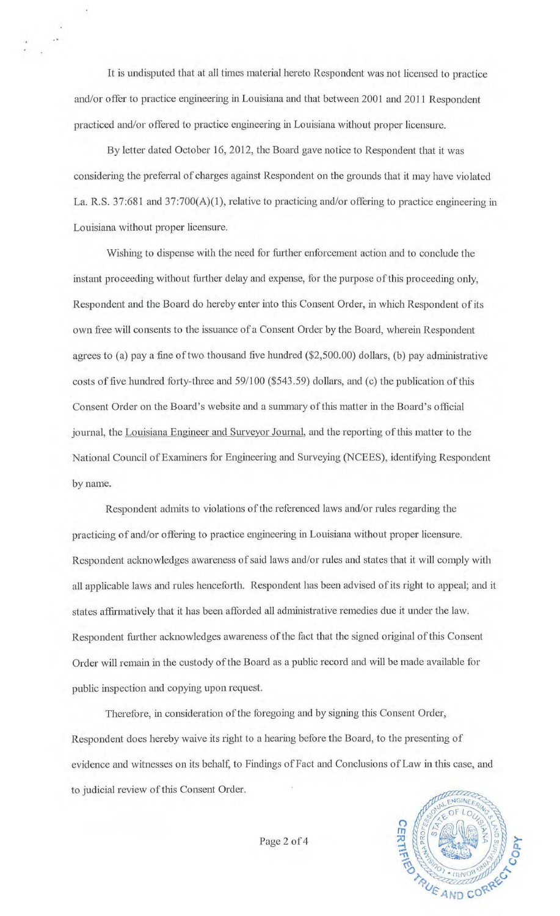It is undisputed that at all times material hereto Respondent was not licensed to practice and/or offer to practice engineering in Louisiana and that between 2001 and 2011 Respondent practiced and/or offered to practice engineering in Louisiana without proper licensure.

By letter dated October 16, 2012, the Board gave notice to Respondent that it was considering the preferral of charges against Respondent on the grounds that it may have violated La. R.S. 37:681 and 37:700(A)(1), relative to practicing and/or offering to practice engineering in Louisiana without proper licensure.

Wishing to dispense with the need for fiuther enforcement action and to conclude the instant proceeding without further delay and expense, for the purpose of this proceeding only, Respondent and the Board do hereby enter into this Consent Order, in which Respondent of its own free will consents to the issuance of a Consent Order by the Board, wherein Respondent agrees to (a) pay a fine of two. thousand five hundred (\$2,500.00) dollars, (b) pay administrative costs of five hundred forty-three and 59/100 (\$543.59) dollars, and (c) the publication of this Consent Order on the Board's website and a summary of this matter in the Board's official journal, the Louisiana Engineer and Surveyor Journal, and the reporting of this matter to the National Council of Examiners for Engineering and Surveying (NCEES), identifying Respondent by name.

Respondent admits to violations of the referenced laws and/or rules regarding the practicing of and/or offering to practice engineering in Louisiana without proper licensure. Respondent acknowledges awareness of said laws and/or rules and states that it will comply with all applicable laws and rules henceforth. Respondent has been advised of its right to appeal; and it states affirmatively that it has been afforded all administrative remedies due it under the law. Respondent further acknowledges awareness of the fact that the signed original of this Consent Order will remain in the custody of the Board as a public record and will be made available for public inspection and copying upon request.

Therefore, in consideration of the foregoing and by signing this Consent Order, Respondent does hereby waive its right to a hearing before the Board, to the presenting of evidence and witnesses on its behalf, to Findings of Fact and Conclusions of Law in this case, and to judicial review of this Consent Order.



Page 2 of 4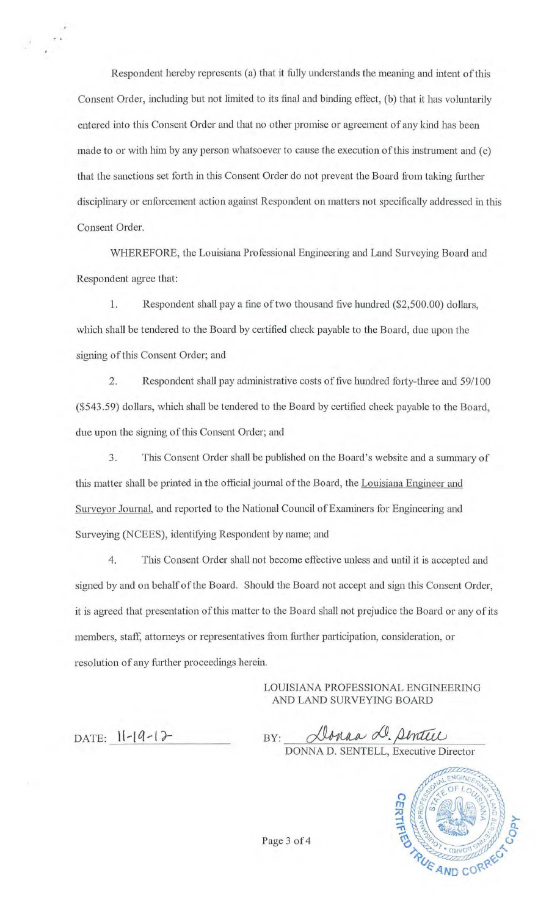Respondent hereby represents (a) that it fully understands the meaning and intent of this Consent Order, including but not limited to its final and binding effect, (b) that it has voluntarily entered into this Consent Order and that no other promise or agreement of any kind has been made to or with him by any person whatsoever to cause the execution of this instrument and (c) that the sanctions set forth in this Consent Order do not prevent the Board from taking further disciplinary or enforcement action against Respondent on matters not specifically addressed in this Consent Order.

WHEREFORE, the Louisiana Professional Engineering and Land Surveying Board and Respondent agree that:

1. Respondent shall pay a fine of two thousand five hundred (\$2,500.00) dollars, which shall be tendered to the Board by certified check payable to the Board, due upon the signing of this Consent Order; and

2. Respondent shall pay administrative costs of five hundred forty-three and 59/100 (\$543.59) dollars, which shall be tendered to the Board by certified check payable to the Board, due upon the signing of this Consent Order; and

3. This Consent Order shall be published on the Board's website and a summary of this matter shall be printed in the official journal of the Board, the Louisiana Engineer and Surveyor Journal, and reported to the National Council of Examiners for Engineering and Surveying (NCEES), identifying Respondent by name; and

4. This Consent Order shall not become effective unless and until it is accepted and signed by and on behalf of the Board. Should the Board not accept and sign this Consent Order, it is agreed that presentation of this matter to the Board shall not prejudice the Board or any of its members, staff, attorneys or representatives from further participation, consideration, or resolution of any further proceedings herein.

> LOUISIANA PROFESSIONAL ENGINEERING AND LAND SURVEYING BOARD

DATE:  $11-19-12$ 

BY:  $\frac{\text{N} \text{}}{\text{DONNA D. SENTERL, Executive Director}}$ 



Page 3 of 4